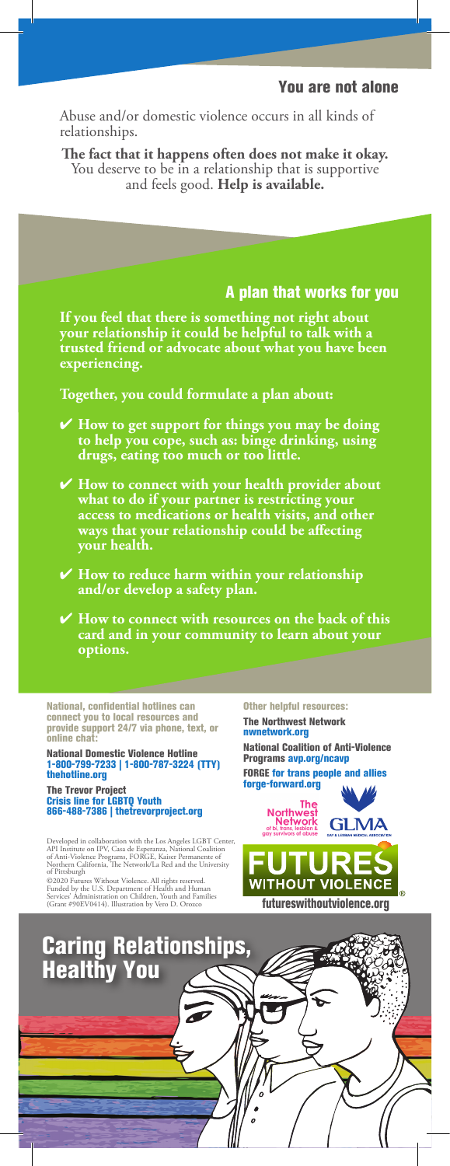## You are not alone

Abuse and/or domestic violence occurs in all kinds of relationships.

**The fact that it happens often does not make it okay.** You deserve to be in a relationship that is supportive and feels good. **Help is available.**

# A plan that works for you

**If you feel that there is something not right about your relationship it could be helpful to talk with a trusted friend or advocate about what you have been experiencing.**

**Together, you could formulate a plan about:**

- ✔ **How to get support for things you may be doing to help you cope, such as: binge drinking, using drugs, eating too much or too little.**
- ✔ **How to connect with your health provider about what to do if your partner is restricting your access to medications or health visits, and other ways that your relationship could be affecting your health.**
- ✔ **How to reduce harm within your relationship and/or develop a safety plan.**
- ✔ **How to connect with resources on the back of this card and in your community to learn about your options.**

National, confidential hotlines can connect you to local resources and provide support 24/7 via phone, text, or online chat:

National Domestic Violence Hotline 1-800-799-7233 | 1-800-787-3224 (TTY) thehotline.org

The Trevor Project<br>Crisis line for LGBTQ Youth<br>866-488-7386 | thetrevorproject.org

Developed in collaboration with the Los Angeles LGBT Center,<br>API Institute on IPV, Casa de Esperanza, National Coalition<br>of Anti-Violence Programs, FORGE, Kaiser Permanene of<br>Northern California, The Network/La Red and the

#### Other helpful resources:

The Northwest Network nwnetwork.org National Coalition of Anti-Violence Programs avp.org/ncavp

FORGE for trans people and allies forge-forward.org







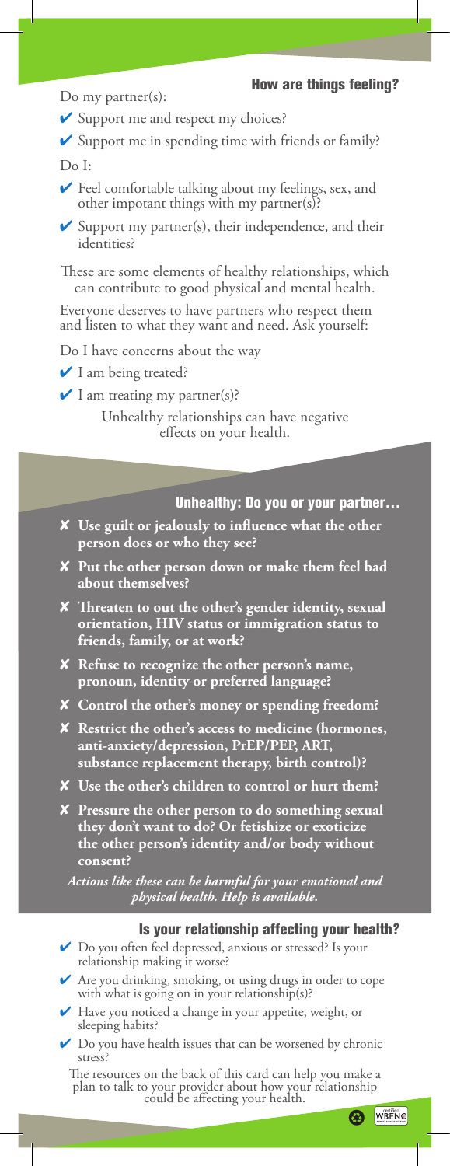# How are things feeling?

Do my partner(s):

◆ Support me and respect my choices?

 $\vee$  Support me in spending time with friends or family?

- Do I:
- $\blacktriangleright$  Feel comfortable talking about my feelings, sex, and other impotant things with my partner(s)?
- $\checkmark$  Support my partner(s), their independence, and their identities?

These are some elements of healthy relationships, which can contribute to good physical and mental health.

Everyone deserves to have partners who respect them and listen to what they want and need. Ask yourself:

Do I have concerns about the way

- ✔ I am being treated?
- $\checkmark$  I am treating my partner(s)?

Unhealthy relationships can have negative effects on your health.

## Unhealthy: Do you or your partner…

- ✘ **Use guilt or jealously to influence what the other person does or who they see?**
- ✘ **Put the other person down or make them feel bad about themselves?**
- ✘ **Threaten to out the other's gender identity, sexual orientation, HIV status or immigration status to friends, family, or at work?**
- ✘ **Refuse to recognize the other person's name, pronoun, identity or preferred language?**
- ✘ **Control the other's money or spending freedom?**
- ✘ **Restrict the other's access to medicine (hormones, anti-anxiety/depression, PrEP/PEP, ART, substance replacement therapy, birth control)?**
- ✘ **Use the other's children to control or hurt them?**
- ✘ **Pressure the other person to do something sexual they don't want to do? Or fetishize or exoticize the other person's identity and/or body without consent?**

*Actions like these can be harmful for your emotional and physical health. Help is available.* 

#### Is your relationship affecting your health?

- ✔ Do you often feel depressed, anxious or stressed? Is your relationship making it worse?
- ✔ Are you drinking, smoking, or using drugs in order to cope with what is going on in your relationship(s)?
- ✔ Have you noticed a change in your appetite, weight, or sleeping habits?
- ✔ Do you have health issues that can be worsened by chronic stress?

The resources on the back of this card can help you make a plan to talk to your provider about how your relationship could be affecting your health.

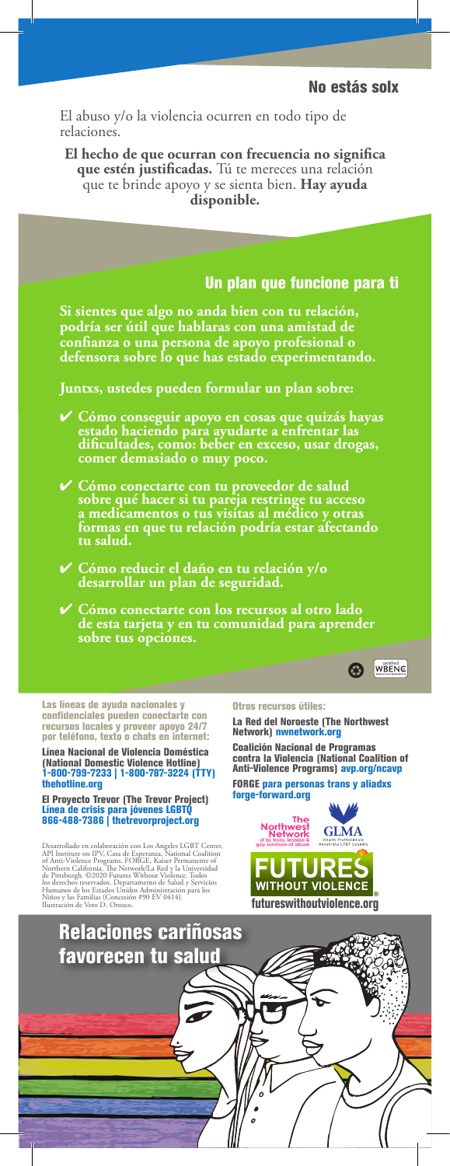## No estás solx

El abuso y/o la violencia ocurren en todo tipo de relaciones.

**El hecho de que ocurran con frecuencia no significa que estén justificadas.** Tú te mereces una relación que te brinde apoyo y se sienta bien. **Hay ayuda disponible.**

### Un plan que funcione para ti

**Si sientes que algo no anda bien con tu relación, podría ser útil que hablaras con una amistad de confianza o una persona de apoyo profesional o defensora sobre lo que has estado experimentando.**

**Juntxs, ustedes pueden formular un plan sobre:**

- ✔ **Cómo conseguir apoyo en cosas que quizás hayas estado haciendo para ayudarte a enfrentar las dificultades, como: beber en exceso, usar drogas, comer demasiado o muy poco.**
- ✔ **Cómo conectarte con tu proveedor de salud sobre qué hacer si tu pareja restringe tu acceso a medicamentos o tus visitas al médico y otras formas en que tu relación podría estar afectando tu salud.**
- ✔ **Cómo reducir el daño en tu relación y/o desarrollar un plan de seguridad.**
- ✔ **Cómo conectarte con los recursos al otro lado de esta tarjeta y en tu comunidad para aprender sobre tus opciones.**



Las líneas de ayuda nacionales y confidenciales pueden conectarte con recursos locales y proveer apoyo 24/7 por teléfono, texto o chats en internet:

Línea Nacional de Violencia Doméstica (National Domestic Violence Hotline) 1-800-799-7233 | 1-800-787-3224 (TTY) thehotline.org<br>El Proyecto Trevor (The Trevor Project)

El Proyecto Trevor (The Trevor Project)<br>Línea de crisis para jóvenes LGBTQ<br>866-488-7386 | thetrevorproject.org

#### Otros recursos útiles:

La Red del Noroeste (The Northwest Network) nwnetwork.org

Coalición Nacional de Programas contra la Violencia (National Coalition of Anti-Violence Programs) avp.org/ncavp FORGE para personas trans y aliadxs forge-forward.org